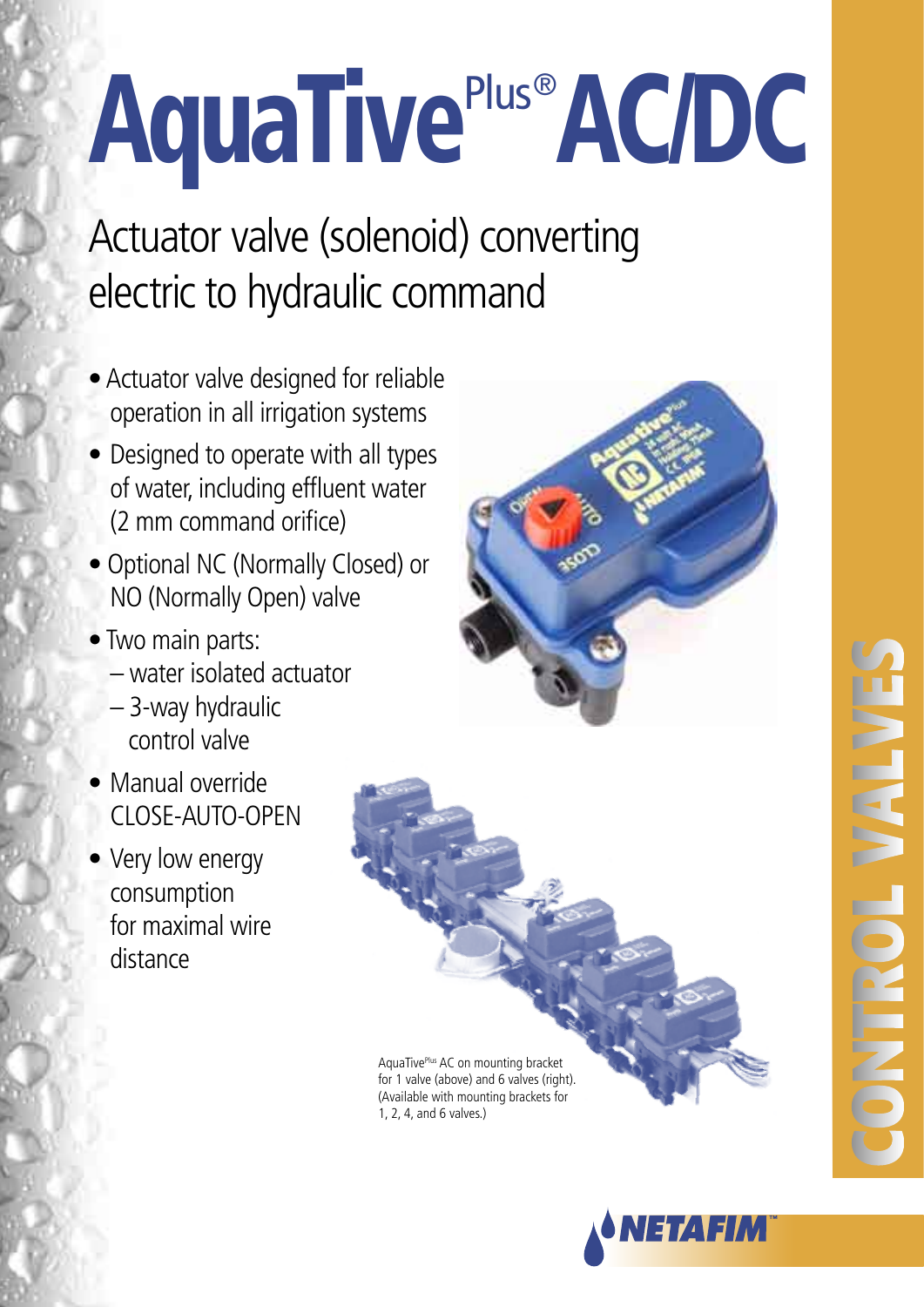## **AquaTive**<sup>P</sup> Plus® AC/DC

Actuator valve (solenoid) converting electric to hydraulic command

- Actuator valve designed for reliable operation in all irrigation systems
- Designed to operate with all types of water, including effluent water (2 mm command orifice)
- Optional NC (Normally Closed) or NO (Normally Open) valve
- Two main parts:
	- water isolated actuator
	- 3-way hydraulic control valve
- Manual override CLOSE-AUTO-OPEN
- Very low energy consumption for maximal wire distance



ACCESSORIES<br>ACCESSORIES<br>A mount valves.) AquaTivePlus AC on mounting bracket for 1 valve (above) and 6 valves (right). (Available with mounting brackets for 1, 2, 4, and 6 valves.)

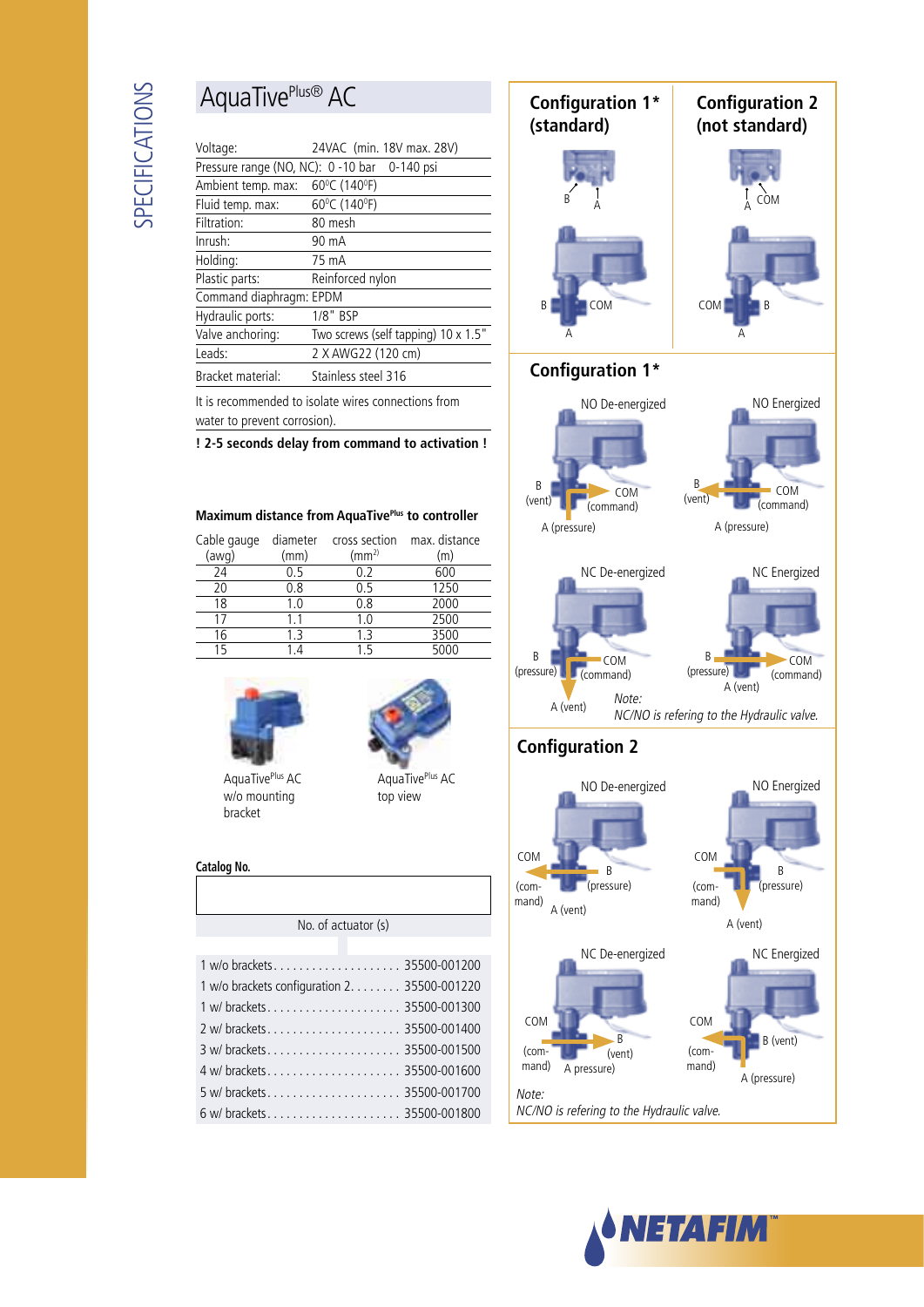## AquaTivePlus® AC

| Voltage:                                     | 24VAC (min. 18V max. 28V)           |  |  |  |
|----------------------------------------------|-------------------------------------|--|--|--|
| Pressure range (NO, NC): 0 -10 bar 0-140 psi |                                     |  |  |  |
| Ambient temp. max:                           | 60°C (140°F)                        |  |  |  |
| Fluid temp. max:                             | 60°C (140°F)                        |  |  |  |
| Filtration:                                  | 80 mesh                             |  |  |  |
| Inrush:                                      | 90 mA                               |  |  |  |
| Holding:                                     | 75 mA                               |  |  |  |
| Plastic parts:                               | Reinforced nylon                    |  |  |  |
| Command diaphragm: EPDM                      |                                     |  |  |  |
| Hydraulic ports:                             | 1/8" BSP                            |  |  |  |
| Valve anchoring:                             | Two screws (self tapping) 10 x 1.5" |  |  |  |
| Leads:                                       | 2 X AWG22 (120 cm)                  |  |  |  |
| Bracket material:                            | Stainless steel 316                 |  |  |  |

It is recommended to isolate wires connections from water to prevent corrosion).

**! 2-5 seconds delay from command to activation !**

#### **Maximum distance from AquaTivePlus to controller**

| Cable gauge<br>(awg) | diameter<br>(mm) | cross section<br>(mm <sup>2</sup> ) | max. distance<br>(m) |
|----------------------|------------------|-------------------------------------|----------------------|
| 24                   | 0.5              | 0.2                                 | 600                  |
| 20                   | 0.8              | በ 5                                 | 1250                 |
| 18                   | 1.0              | 0.8                                 | 2000                 |
|                      | 11               | 1.0                                 | 2500                 |
| 16                   | 1 ጓ              | 1.3                                 | 3500                 |
| 15                   |                  | 15                                  | 5000                 |







| AquaTive <sup>Plus</sup> AC |  |
|-----------------------------|--|
| w/o mounting                |  |
| bracket                     |  |

top view

#### **Catalog No.**

| No. of actuator (s)                          |
|----------------------------------------------|
|                                              |
|                                              |
| 1 w/o brackets configuration 2. 35500-001220 |
|                                              |
|                                              |
|                                              |
|                                              |

5 w/ brackets. . . . . . . . . . . . . . . . . . . . . 35500-001700 6 w/ brackets. . . . . . . . . . . . . . . . . . . . . 35500-001800



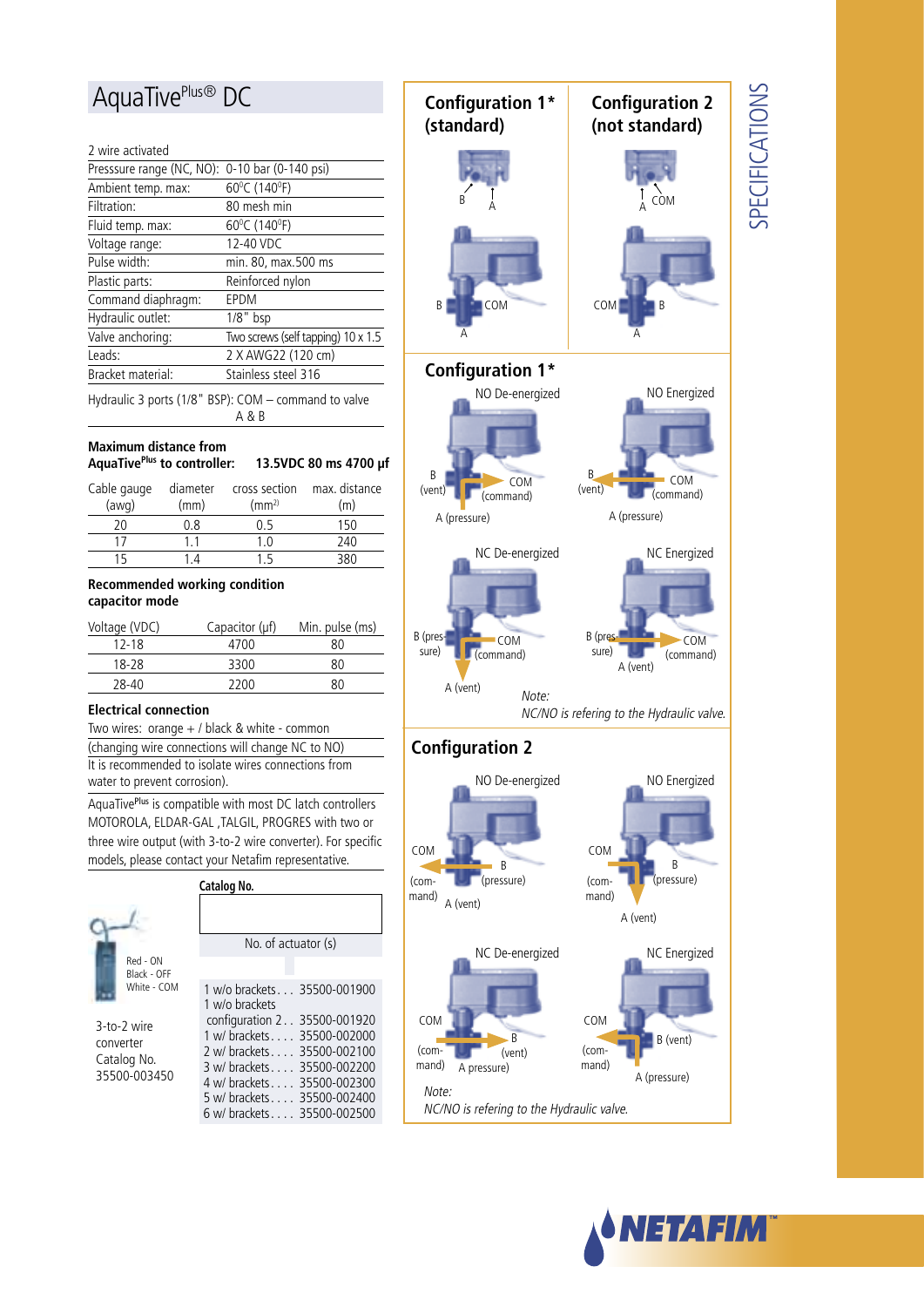### AquaTivePlus<sup>®</sup> DC

#### 2 wire activated

| Presssure range (NC, NO): 0-10 bar (0-140 psi) |                                    |
|------------------------------------------------|------------------------------------|
| Ambient temp. max:                             | 60°C (140°F)                       |
| Filtration:                                    | 80 mesh min                        |
| Fluid temp. max:                               | 60°C (140°F)                       |
| Voltage range:                                 | 12-40 VDC                          |
| Pulse width:                                   | min. 80, max.500 ms                |
| Plastic parts:                                 | Reinforced nylon                   |
| Command diaphragm:                             | EPDM                               |
| Hydraulic outlet:                              | $1/8"$ bsp                         |
| Valve anchoring:                               | Two screws (self tapping) 10 x 1.5 |
| Leads:                                         | 2 X AWG22 (120 cm)                 |
| Bracket material:                              | Stainless steel 316                |
|                                                |                                    |

Hydraulic 3 ports (1/8" BSP): COM – command to valve A & B

#### **Maximum distance from**

| AquaTive <sup>Plus</sup> to controller: | 13.5VDC 80 ms 4700 µf |
|-----------------------------------------|-----------------------|
|-----------------------------------------|-----------------------|

| Cable gauge | diameter | cross section      | max. distance |
|-------------|----------|--------------------|---------------|
| (awq)       | (mm)     | (mm <sup>2</sup> ) | (m)           |
| 20          | 0.8      | በ 5                | 150           |
|             |          |                    | 240           |
| 15          |          | -5                 | 38U           |

#### **Recommended working condition capacitor mode**

| Voltage (VDC) | Capacitor $(\mu f)$ | Min. pulse (ms) |
|---------------|---------------------|-----------------|
| $12 - 18$     | 4700                | 80              |
| 18-28         | 3300                | 80              |
| 28-40         | 2200                | 80              |

#### **Electrical connection**

Two wires: orange  $+$  / black & white - common (changing wire connections will change NC to NO) It is recommended to isolate wires connections from water to prevent corrosion).

AquaTivePlus is compatible with most DC latch controllers MOTOROLA, ELDAR-GAL ,TALGIL, PROGRES with two or three wire output (with 3-to-2 wire converter). For specific models, please contact your Netafim representative.

|                                                                        | Catalog No.                                                                                                                                                                                                                                                       |
|------------------------------------------------------------------------|-------------------------------------------------------------------------------------------------------------------------------------------------------------------------------------------------------------------------------------------------------------------|
|                                                                        | No. of actuator (s)                                                                                                                                                                                                                                               |
| Red - ON<br>Black - OFF                                                |                                                                                                                                                                                                                                                                   |
| White - COM<br>3-to-2 wire<br>converter<br>Catalog No.<br>35500-003450 | 1 w/o brackets 35500-001900<br>1 w/o brackets<br>configuration 2 35500-001920<br>1 w/ brackets 35500-002000<br>2 w/ brackets 35500-002100<br>3 w/ brackets 35500-002200<br>4 w/ brackets 35500-002300<br>5 w/ brackets 35500-002400<br>6 w/ brackets 35500-002500 |





COM (command)

Note:

# **SPECIFICATIONS** SPECIFICATIONS